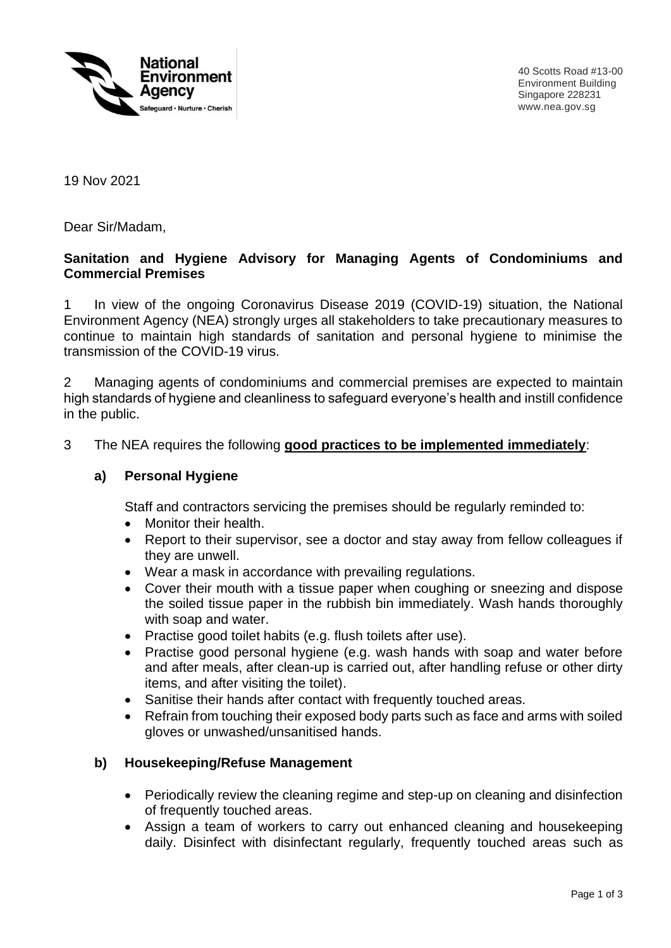

40 Scotts Road #13-00 Environment Building Singapore 228231 www.nea.gov.sg

19 Nov 2021

Dear Sir/Madam,

### **Sanitation and Hygiene Advisory for Managing Agents of Condominiums and Commercial Premises**

1 In view of the ongoing Coronavirus Disease 2019 (COVID-19) situation, the National Environment Agency (NEA) strongly urges all stakeholders to take precautionary measures to continue to maintain high standards of sanitation and personal hygiene to minimise the transmission of the COVID-19 virus.

2 Managing agents of condominiums and commercial premises are expected to maintain high standards of hygiene and cleanliness to safeguard everyone's health and instill confidence in the public.

#### 3 The NEA requires the following **good practices to be implemented immediately**:

#### **a) Personal Hygiene**

Staff and contractors servicing the premises should be regularly reminded to:

- Monitor their health.
- Report to their supervisor, see a doctor and stay away from fellow colleagues if they are unwell.
- Wear a mask in accordance with prevailing regulations.
- Cover their mouth with a tissue paper when coughing or sneezing and dispose the soiled tissue paper in the rubbish bin immediately. Wash hands thoroughly with soap and water.
- Practise good toilet habits (e.g. flush toilets after use).
- Practise good personal hygiene (e.g. wash hands with soap and water before and after meals, after clean-up is carried out, after handling refuse or other dirty items, and after visiting the toilet).
- Sanitise their hands after contact with frequently touched areas.
- Refrain from touching their exposed body parts such as face and arms with soiled gloves or unwashed/unsanitised hands.

#### **b) Housekeeping/Refuse Management**

- Periodically review the cleaning regime and step-up on cleaning and disinfection of frequently touched areas.
- Assign a team of workers to carry out enhanced cleaning and housekeeping daily. Disinfect with disinfectant regularly, frequently touched areas such as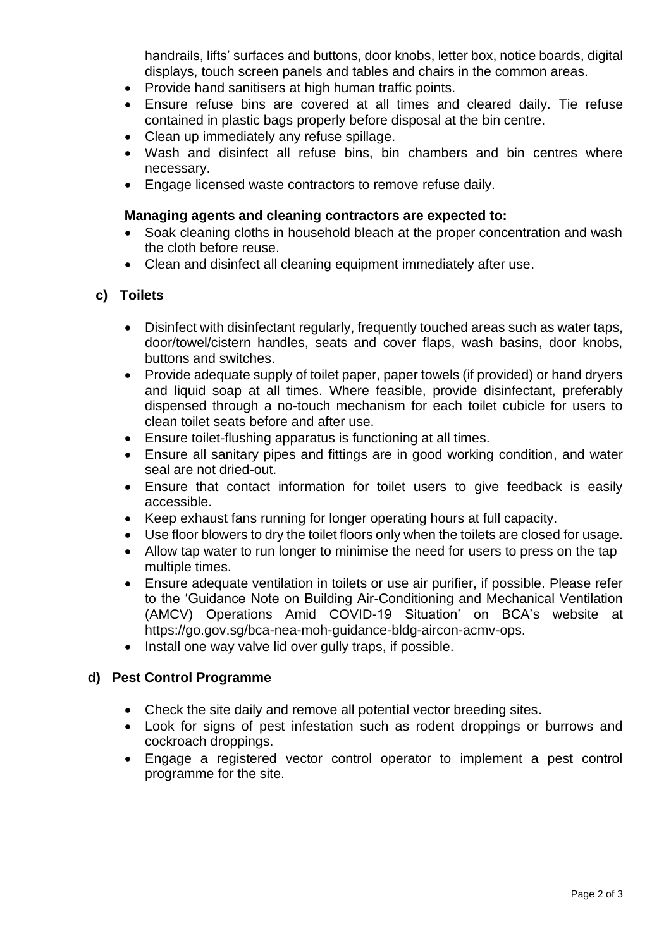handrails, lifts' surfaces and buttons, door knobs, letter box, notice boards, digital displays, touch screen panels and tables and chairs in the common areas.

- Provide hand sanitisers at high human traffic points.
- Ensure refuse bins are covered at all times and cleared daily. Tie refuse contained in plastic bags properly before disposal at the bin centre.
- Clean up immediately any refuse spillage.
- Wash and disinfect all refuse bins, bin chambers and bin centres where necessary.
- Engage licensed waste contractors to remove refuse daily.

#### **Managing agents and cleaning contractors are expected to:**

- Soak cleaning cloths in household bleach at the proper concentration and wash the cloth before reuse.
- Clean and disinfect all cleaning equipment immediately after use.

## **c) Toilets**

- Disinfect with disinfectant regularly, frequently touched areas such as water taps, door/towel/cistern handles, seats and cover flaps, wash basins, door knobs, buttons and switches.
- Provide adequate supply of toilet paper, paper towels (if provided) or hand dryers and liquid soap at all times. Where feasible, provide disinfectant, preferably dispensed through a no-touch mechanism for each toilet cubicle for users to clean toilet seats before and after use.
- Ensure toilet-flushing apparatus is functioning at all times.
- Ensure all sanitary pipes and fittings are in good working condition, and water seal are not dried-out.
- Ensure that contact information for toilet users to give feedback is easily accessible.
- Keep exhaust fans running for longer operating hours at full capacity.
- Use floor blowers to dry the toilet floors only when the toilets are closed for usage.
- Allow tap water to run longer to minimise the need for users to press on the tap multiple times.
- Ensure adequate ventilation in toilets or use air purifier, if possible. Please refer to the 'Guidance Note on Building Air-Conditioning and Mechanical Ventilation (AMCV) Operations Amid COVID-19 Situation' on BCA's website at https://go.gov.sg/bca-nea-moh-guidance-bldg-aircon-acmv-ops.
- Install one way valve lid over gully traps, if possible.

# **d) Pest Control Programme**

- Check the site daily and remove all potential vector breeding sites.
- Look for signs of pest infestation such as rodent droppings or burrows and cockroach droppings.
- Engage a registered vector control operator to implement a pest control programme for the site.